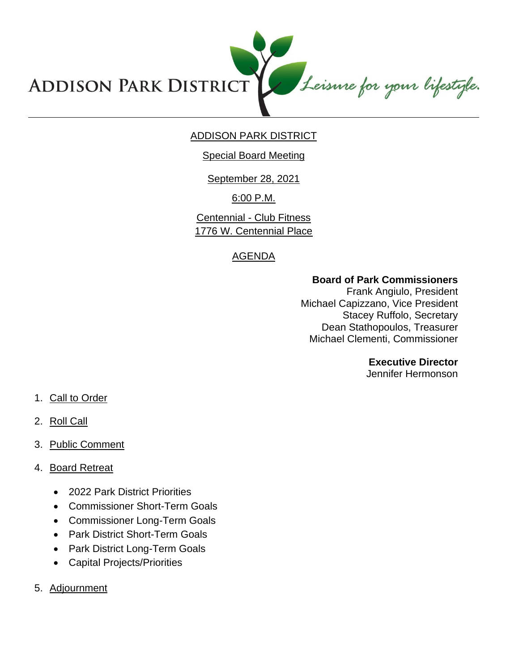Leisure for your lifestyle. **ADDISON PARK DISTRICT** 

# ADDISON PARK DISTRICT

#### Special Board Meeting

September 28, 2021

6:00 P.M.

Centennial - Club Fitness 1776 W. Centennial Place

# AGENDA

## **Board of Park Commissioners**

Frank Angiulo, President Michael Capizzano, Vice President Stacey Ruffolo, Secretary Dean Stathopoulos, Treasurer Michael Clementi, Commissioner

## **Executive Director**

Jennifer Hermonson

- 1. Call to Order
- 2. Roll Call
- 3. Public Comment

## 4. Board Retreat

- 2022 Park District Priorities
- Commissioner Short-Term Goals
- Commissioner Long-Term Goals
- Park District Short-Term Goals
- Park District Long-Term Goals
- Capital Projects/Priorities
- 5. Adjournment